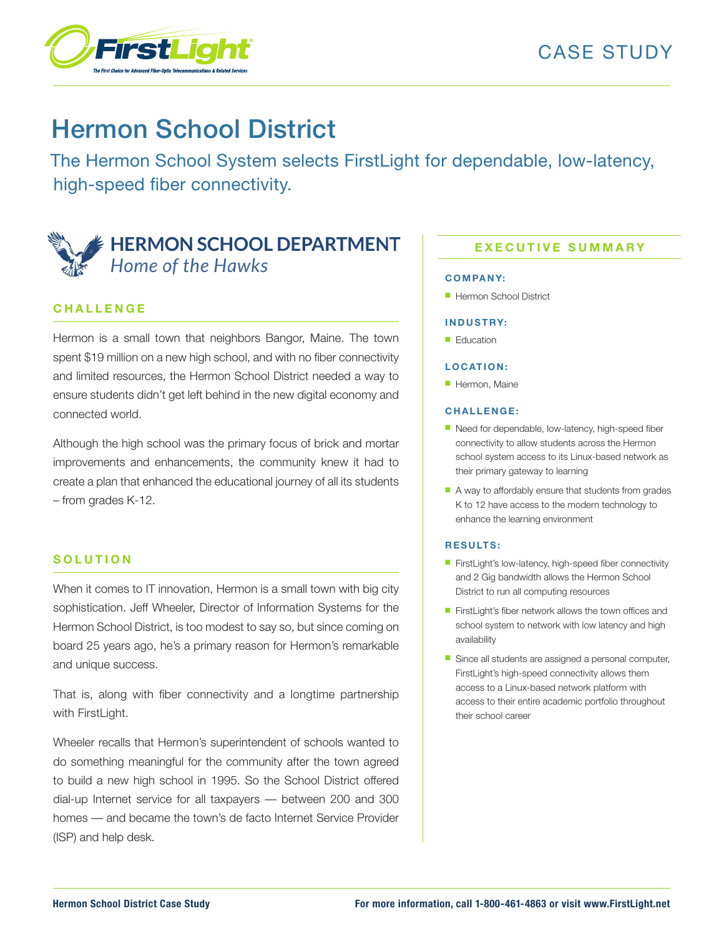

# Hermon School District

The Hermon School System selects FirstLight for dependable, low-latency, high-speed fiber connectivity.

## **HERMON SCHOOL DEPARTMENT** Home of the Hawks

## **C H A L L E N G E**

Hermon is a small town that neighbors Bangor, Maine. The town spent \$19 million on a new high school, and with no fiber connectivity and limited resources, the Hermon School District needed a way to ensure students didn't get left behind in the new digital economy and connected world.

Although the high school was the primary focus of brick and mortar improvements and enhancements, the community knew it had to create a plan that enhanced the educational journey of all its students – from grades K-12.

### **S O L U T I O N**

When it comes to IT innovation, Hermon is a small town with big city sophistication. Jeff Wheeler, Director of Information Systems for the Hermon School District, is too modest to say so, but since coming on board 25 years ago, he's a primary reason for Hermon's remarkable and unique success.

That is, along with fiber connectivity and a longtime partnership with FirstLight.

Wheeler recalls that Hermon's superintendent of schools wanted to do something meaningful for the community after the town agreed to build a new high school in 1995. So the School District offered dial-up Internet service for all taxpayers — between 200 and 300 homes — and became the town's de facto Internet Service Provider (ISP) and help desk.

## **EXECUTIVE SUMMARY**

#### **C OM PA N Y:**

■ Hermon School District

#### **I N D U S T RY:**

■ Education

#### LOCATION:

■ Hermon, Maine

#### **C H A L L E N G E :**

- Need for dependable, low-latency, high-speed fiber connectivity to allow students across the Hermon school system access to its Linux-based network as their primary gateway to learning
- A way to affordably ensure that students from grades K to 12 have access to the modern technology to enhance the learning environment

#### **R E S U LT S :**

- FirstLight's low-latency, high-speed fiber connectivity and 2 Gig bandwidth allows the Hermon School District to run all computing resources
- FirstLight's fiber network allows the town offices and school system to network with low latency and high availability
- Since all students are assigned a personal computer, FirstLight's high-speed connectivity allows them access to a Linux-based network platform with access to their entire academic portfolio throughout their school career